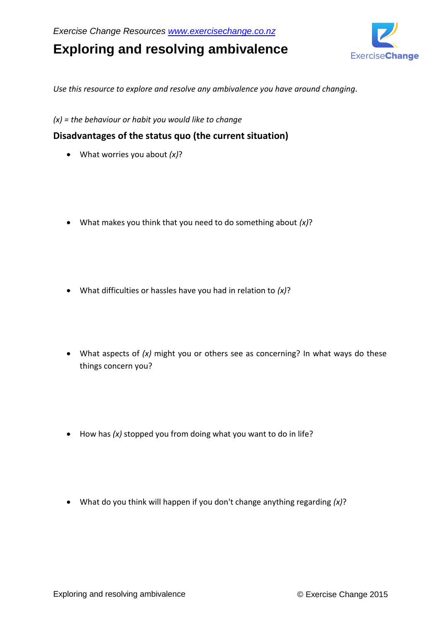# **Exploring and resolving ambivalence**



*Use this resource to explore and resolve any ambivalence you have around changing.*

*(x) = the behaviour or habit you would like to change* 

## **Disadvantages of the status quo (the current situation)**

- What worries you about *(x)*?
- What makes you think that you need to do something about *(x)*?
- What difficulties or hassles have you had in relation to *(x)*?
- What aspects of *(x)* might you or others see as concerning? In what ways do these things concern you?
- How has *(x)* stopped you from doing what you want to do in life?
- What do you think will happen if you don't change anything regarding *(x)*?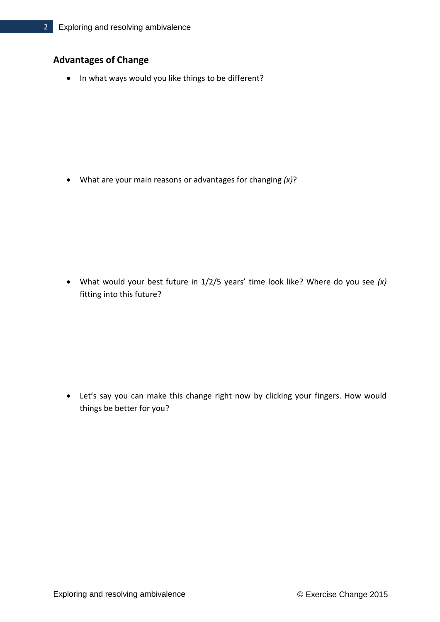# **Advantages of Change**

• In what ways would you like things to be different?

What are your main reasons or advantages for changing *(x)*?

 What would your best future in 1/2/5 years' time look like? Where do you see *(x)* fitting into this future?

 Let's say you can make this change right now by clicking your fingers. How would things be better for you?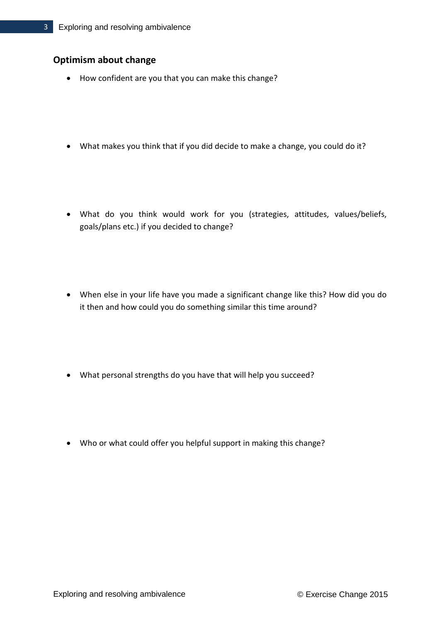## **Optimism about change**

- How confident are you that you can make this change?
- What makes you think that if you did decide to make a change, you could do it?
- What do you think would work for you (strategies, attitudes, values/beliefs, goals/plans etc.) if you decided to change?
- When else in your life have you made a significant change like this? How did you do it then and how could you do something similar this time around?
- What personal strengths do you have that will help you succeed?
- Who or what could offer you helpful support in making this change?